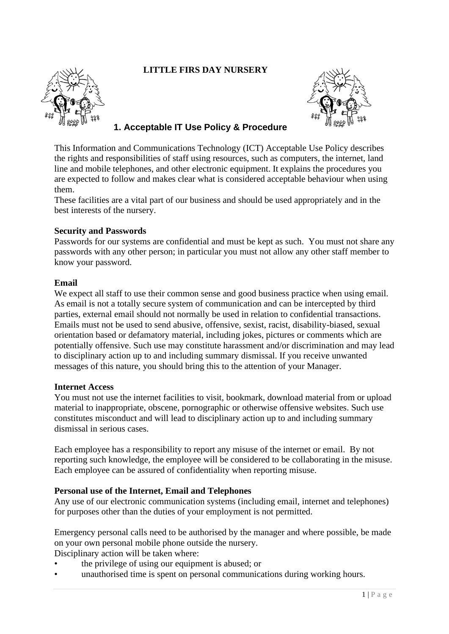# **LITTLE FIRS DAY NURSERY**





# **1. Acceptable IT Use Policy & Procedure**

This Information and Communications Technology (ICT) Acceptable Use Policy describes the rights and responsibilities of staff using resources, such as computers, the internet, land line and mobile telephones, and other electronic equipment. It explains the procedures you are expected to follow and makes clear what is considered acceptable behaviour when using them.

These facilities are a vital part of our business and should be used appropriately and in the best interests of the nursery.

#### **Security and Passwords**

Passwords for our systems are confidential and must be kept as such. You must not share any passwords with any other person; in particular you must not allow any other staff member to know your password.

#### **Email**

We expect all staff to use their common sense and good business practice when using email. As email is not a totally secure system of communication and can be intercepted by third parties, external email should not normally be used in relation to confidential transactions. Emails must not be used to send abusive, offensive, sexist, racist, disability-biased, sexual orientation based or defamatory material, including jokes, pictures or comments which are potentially offensive. Such use may constitute harassment and/or discrimination and may lead to disciplinary action up to and including summary dismissal. If you receive unwanted messages of this nature, you should bring this to the attention of your Manager.

#### **Internet Access**

You must not use the internet facilities to visit, bookmark, download material from or upload material to inappropriate, obscene, pornographic or otherwise offensive websites. Such use constitutes misconduct and will lead to disciplinary action up to and including summary dismissal in serious cases.

Each employee has a responsibility to report any misuse of the internet or email. By not reporting such knowledge, the employee will be considered to be collaborating in the misuse. Each employee can be assured of confidentiality when reporting misuse.

#### **Personal use of the Internet, Email and Telephones**

Any use of our electronic communication systems (including email, internet and telephones) for purposes other than the duties of your employment is not permitted.

Emergency personal calls need to be authorised by the manager and where possible, be made on your own personal mobile phone outside the nursery. Disciplinary action will be taken where:

- the privilege of using our equipment is abused; or
- unauthorised time is spent on personal communications during working hours.